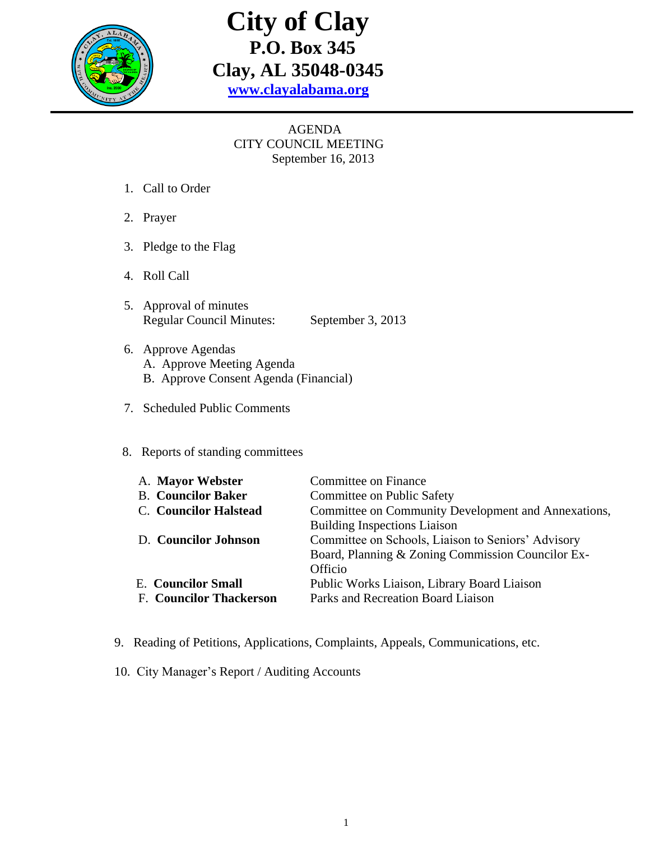

# **City of Clay P.O. Box 345 Clay, AL 35048-0345 [www.clayalabama.org](http://www.clayalabama.org/)**

### AGENDA CITY COUNCIL MEETING September 16, 2013

- 1. Call to Order
- 2. Prayer
- 3. Pledge to the Flag
- 4. Roll Call
- 5. Approval of minutes Regular Council Minutes: September 3, 2013
- 6. Approve Agendas A. Approve Meeting Agenda B. Approve Consent Agenda (Financial)
- 7. Scheduled Public Comments

#### 8. Reports of standing committees

| A. Mayor Webster               | Committee on Finance                                |  |
|--------------------------------|-----------------------------------------------------|--|
| <b>B.</b> Councilor Baker      | Committee on Public Safety                          |  |
| <b>C.</b> Councilor Halstead   | Committee on Community Development and Annexations, |  |
|                                | <b>Building Inspections Liaison</b>                 |  |
| D. Councilor Johnson           | Committee on Schools, Liaison to Seniors' Advisory  |  |
|                                | Board, Planning & Zoning Commission Councilor Ex-   |  |
|                                | Officio                                             |  |
| <b>E.</b> Councilor Small      | Public Works Liaison, Library Board Liaison         |  |
| <b>F. Councilor Thackerson</b> | Parks and Recreation Board Liaison                  |  |
|                                |                                                     |  |

- 9. Reading of Petitions, Applications, Complaints, Appeals, Communications, etc.
- 10. City Manager's Report / Auditing Accounts